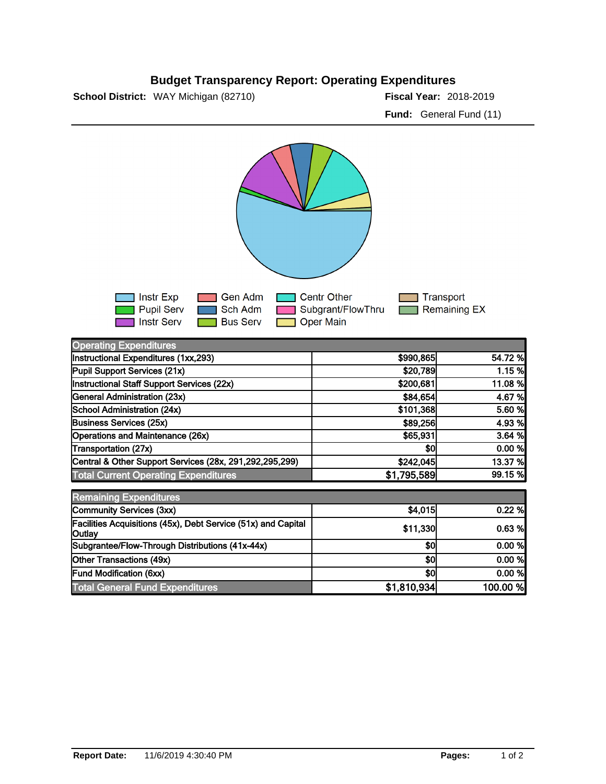## **Budget Transparency Report: Operating Expenditures**

**School District:** WAY Michigan (82710)

Fiscal Year: 2018-2019 **Fund:** General Fund (11)



| <b>Operating Expenditures</b>                                           |             |          |
|-------------------------------------------------------------------------|-------------|----------|
| Instructional Expenditures (1xx,293)                                    | \$990,865   | 54.72 %  |
| Pupil Support Services (21x)                                            | \$20,789    | 1.15%    |
| Instructional Staff Support Services (22x)                              | \$200,681   | 11.08 %  |
| General Administration (23x)                                            | \$84,654    | 4.67 %   |
| School Administration (24x)                                             | \$101,368   | 5.60 %   |
| <b>Business Services (25x)</b>                                          | \$89,256    | 4.93 %   |
| Operations and Maintenance (26x)                                        | \$65,931    | 3.64%    |
| Transportation (27x)                                                    | \$0         | 0.00 %   |
| Central & Other Support Services (28x, 291,292,295,299)                 | \$242,045   | 13.37 %  |
| <b>Total Current Operating Expenditures</b>                             | \$1,795,589 | 99.15 %  |
| <b>Remaining Expenditures</b>                                           |             |          |
| Community Services (3xx)                                                | \$4,015     | 0.22%    |
| Facilities Acquisitions (45x), Debt Service (51x) and Capital<br>Outlay | \$11,330    | 0.63%    |
| Subgrantee/Flow-Through Distributions (41x-44x)                         | \$0         | 0.00 %   |
| Other Transactions (49x)                                                | \$0         | 0.00 %   |
| <b>Fund Modification (6xx)</b>                                          | \$0         | 0.00 %   |
| <b>Total General Fund Expenditures</b>                                  | \$1,810,934 | 100.00 % |